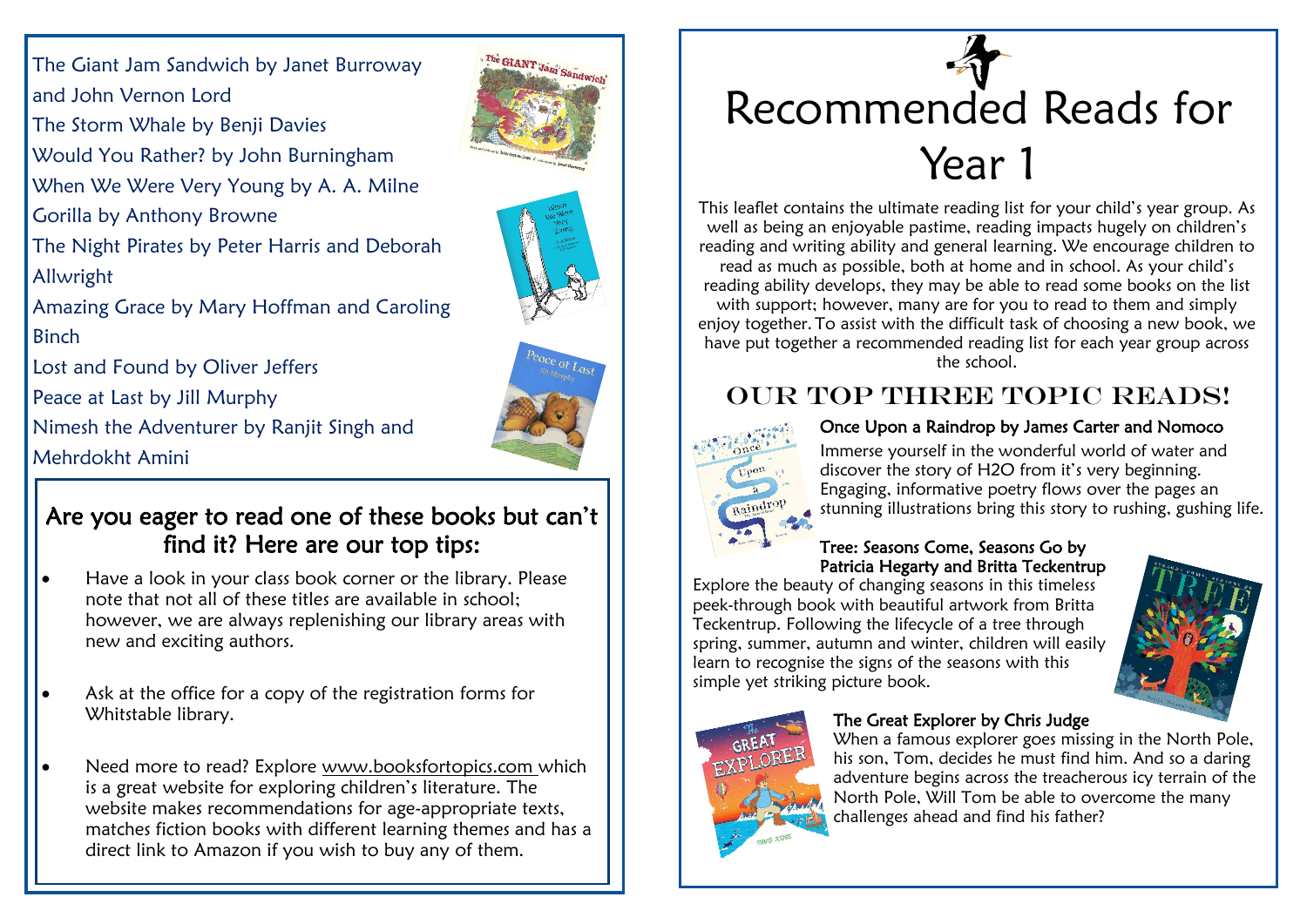The Giant Jam Sandwich by Janet Burroway and John Vernon Lord The Storm Whale by Benji Davies Would You Rather? by John Burningham When We Were Very Young by A. A. Milne Gorilla by Anthony Browne The Night Pirates by Peter Harris and Deborah Allwright Amazing Grace by Mary Hoffman and Caroling **Binch** Lost and Found by Oliver Jeffers Peace at Last by Jill Murphy Nimesh the Adventurer by Ranjit Singh and

Mehrdokht Amini

### Are you eager to read one of these books but can't find it? Here are our top tips:

- Have a look in your class book corner or the library. Please note that not all of these titles are available in school; however, we are always replenishing our library areas with new and exciting authors.
- Ask at the office for a copy of the registration forms for Whitstable library.
- Need more to read? Explore www.booksfortopics.com which is a great website for exploring children's literature. The website makes recommendations for age-appropriate texts, matches fiction books with different learning themes and has a direct link to Amazon if you wish to buy any of them.



This leaflet contains the ultimate reading list for your child's year group. As well as being an enjoyable pastime, reading impacts hugely on children's reading and writing ability and general learning. We encourage children to read as much as possible, both at home and in school. As your child's reading ability develops, they may be able to read some books on the list with support; however, many are for you to read to them and simply enjoy together. To assist with the difficult task of choosing a new book, we have put together a recommended reading list for each year group across the school.

## OUR TOP THREE TOPIC READS!



#### Once Upon a Raindrop by James Carter and Nomoco

Immerse yourself in the wonderful world of water and discover the story of H2O from it's very beginning. Engaging, informative poetry flows over the pages an stunning illustrations bring this story to rushing, gushing life.

#### Tree: Seasons Come, Seasons Go by Patricia Hegarty and Britta Teckentrup

Explore the beauty of changing seasons in this timeless peek-through book with beautiful artwork from Britta Teckentrup. Following the lifecycle of a tree through spring, summer, autumn and winter, children will easily learn to recognise the signs of the seasons with this simple yet striking picture book.





#### The Great Explorer by Chris Judge

When a famous explorer goes missing in the North Pole, his son, Tom, decides he must find him. And so a daring adventure begins across the treacherous icy terrain of the North Pole, Will Tom be able to overcome the many challenges ahead and find his father?



The GIANT Jam' Sandwich